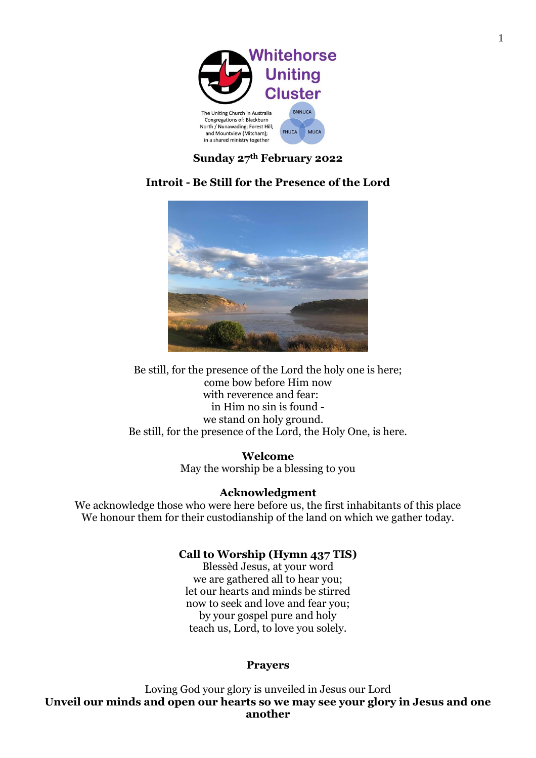

# **Sunday 27th February 2022**

# **Introit - Be Still for the Presence of the Lord**



Be still, for the presence of the Lord the holy one is here; come bow before Him now with reverence and fear: in Him no sin is found we stand on holy ground. Be still, for the presence of the Lord, the Holy One, is here.

> **Welcome** May the worship be a blessing to you

#### **Acknowledgment**

We acknowledge those who were here before us, the first inhabitants of this place We honour them for their custodianship of the land on which we gather today.

## **Call to Worship (Hymn 437 TIS)**

Blessèd Jesus, at your word we are gathered all to hear you; let our hearts and minds be stirred now to seek and love and fear you; by your gospel pure and holy teach us, Lord, to love you solely.

#### **Prayers**

Loving God your glory is unveiled in Jesus our Lord **Unveil our minds and open our hearts so we may see your glory in Jesus and one another**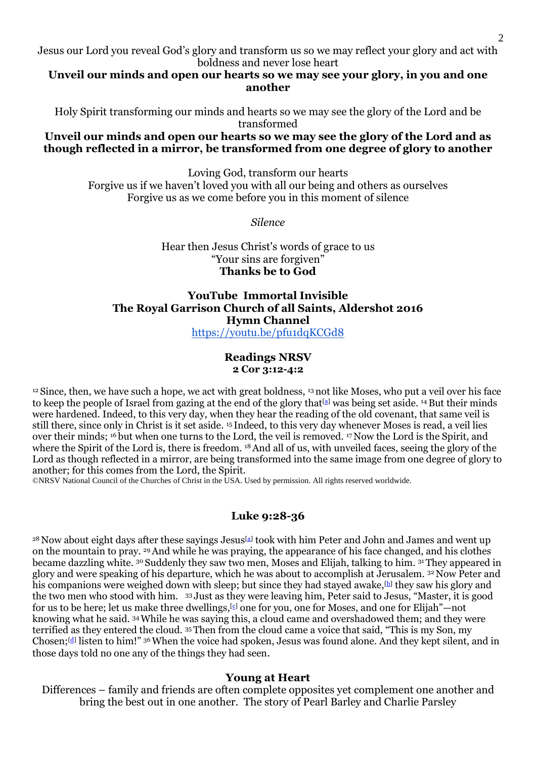Jesus our Lord you reveal God's glory and transform us so we may reflect your glory and act with boldness and never lose heart

**Unveil our minds and open our hearts so we may see your glory, in you and one another**

Holy Spirit transforming our minds and hearts so we may see the glory of the Lord and be transformed

# **Unveil our minds and open our hearts so we may see the glory of the Lord and as though reflected in a mirror, be transformed from one degree of glory to another**

Loving God, transform our hearts Forgive us if we haven't loved you with all our being and others as ourselves Forgive us as we come before you in this moment of silence

*Silence* 

Hear then Jesus Christ's words of grace to us "Your sins are forgiven" **Thanks be to God**

# **YouTube Immortal Invisible The Royal Garrison Church of all Saints, Aldershot 2016 Hymn Channel**

<https://youtu.be/pfu1dqKCGd8>

#### **Readings NRSV 2 Cor 3:12-4:2**

<sup>12</sup> Since, then, we have such a hope, we act with great boldness, <sup>13</sup> not like Moses, who put a veil over his face to keep the people of Israel from gazing at the end of the glory that<sup>[\[a\]](https://www.biblegateway.com/passage/?search=2+Corinthians+3%3A12-4%3A2&version=NRSV)</sup> was being set aside. <sup>14</sup> But their minds were hardened. Indeed, to this very day, when they hear the reading of the old covenant, that same veil is still there, since only in Christ is it set aside. <sup>15</sup> Indeed, to this very day whenever Moses is read, a veil lies over their minds; <sup>16</sup> but when one turns to the Lord, the veil is removed. <sup>17</sup>Now the Lord is the Spirit, and where the Spirit of the Lord is, there is freedom. <sup>18</sup> And all of us, with unveiled faces, seeing the glory of the Lord as though reflected in a mirror, are being transformed into the same image from one degree of glory to another; for this comes from the Lord, the Spirit.

©NRSV National Council of the Churches of Christ in the USA. Used by permission. All rights reserved worldwide.

## **Luke 9:28-36**

 $^{28}\,$ Now about eight days after these sayings Jesus $^{[a]}$  $^{[a]}$  $^{[a]}$  took with him Peter and John and James and went up on the mountain to pray. <sup>29</sup>And while he was praying, the appearance of his face changed, and his clothes became dazzling white. <sup>30</sup> Suddenly they saw two men, Moses and Elijah, talking to him. <sup>31</sup>They appeared in glory and were speaking of his departure, which he was about to accomplish at Jerusalem. <sup>32</sup>Now Peter and his companions were weighed down with sleep; but since they had stayed awake, **b** they saw his glory and the two men who stood with him. <sup>33</sup> Just as they were leaving him, Peter said to Jesus, "Master, it is good for us to be here; let us make three dwellings,<sup>[\[c\]](https://www.biblegateway.com/passage/?search=Luke+9%3A28-36&version=NRSV)</sup> one for you, one for Moses, and one for Elijah"—not knowing what he said. <sup>34</sup>While he was saying this, a cloud came and overshadowed them; and they were terrified as they entered the cloud. <sup>35</sup> Then from the cloud came a voice that said, "This is my Son, my Chosen;<sup>[\[d\]](https://www.biblegateway.com/passage/?search=Luke+9%3A28-36&version=NRSV)</sup> listen to him!" <sup>36</sup> When the voice had spoken, Jesus was found alone. And they kept silent, and in those days told no one any of the things they had seen.

#### **Young at Heart**

Differences – family and friends are often complete opposites yet complement one another and bring the best out in one another. The story of Pearl Barley and Charlie Parsley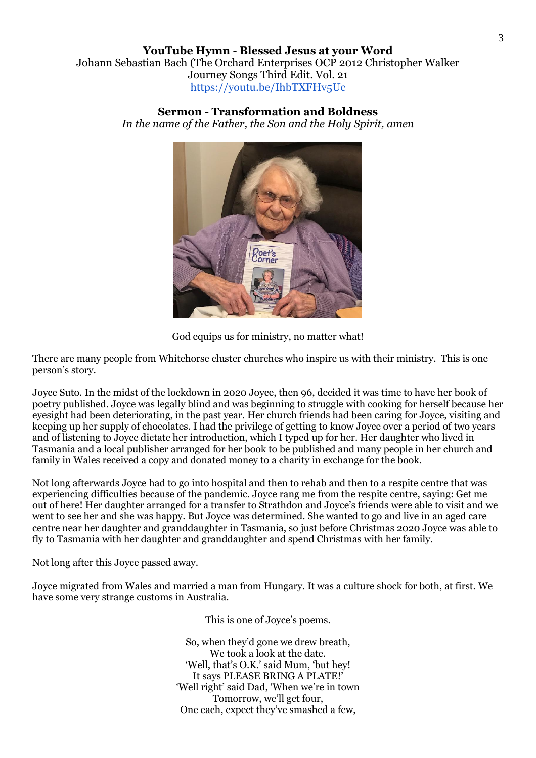### **YouTube Hymn - Blessed Jesus at your Word** Johann Sebastian Bach (The Orchard Enterprises OCP 2012 Christopher Walker Journey Songs Third Edit. Vol. 21 <https://youtu.be/IhbTXFHv5Uc>

**Sermon - Transformation and Boldness** *In the name of the Father, the Son and the Holy Spirit, amen*



God equips us for ministry, no matter what!

There are many people from Whitehorse cluster churches who inspire us with their ministry. This is one person's story.

Joyce Suto. In the midst of the lockdown in 2020 Joyce, then 96, decided it was time to have her book of poetry published. Joyce was legally blind and was beginning to struggle with cooking for herself because her eyesight had been deteriorating, in the past year. Her church friends had been caring for Joyce, visiting and keeping up her supply of chocolates. I had the privilege of getting to know Joyce over a period of two years and of listening to Joyce dictate her introduction, which I typed up for her. Her daughter who lived in Tasmania and a local publisher arranged for her book to be published and many people in her church and family in Wales received a copy and donated money to a charity in exchange for the book.

Not long afterwards Joyce had to go into hospital and then to rehab and then to a respite centre that was experiencing difficulties because of the pandemic. Joyce rang me from the respite centre, saying: Get me out of here! Her daughter arranged for a transfer to Strathdon and Joyce's friends were able to visit and we went to see her and she was happy. But Joyce was determined. She wanted to go and live in an aged care centre near her daughter and granddaughter in Tasmania, so just before Christmas 2020 Joyce was able to fly to Tasmania with her daughter and granddaughter and spend Christmas with her family.

Not long after this Joyce passed away.

Joyce migrated from Wales and married a man from Hungary. It was a culture shock for both, at first. We have some very strange customs in Australia.

This is one of Joyce's poems.

So, when they'd gone we drew breath, We took a look at the date. 'Well, that's O.K.' said Mum, 'but hey! It says PLEASE BRING A PLATE!' 'Well right' said Dad, 'When we're in town Tomorrow, we'll get four, One each, expect they've smashed a few,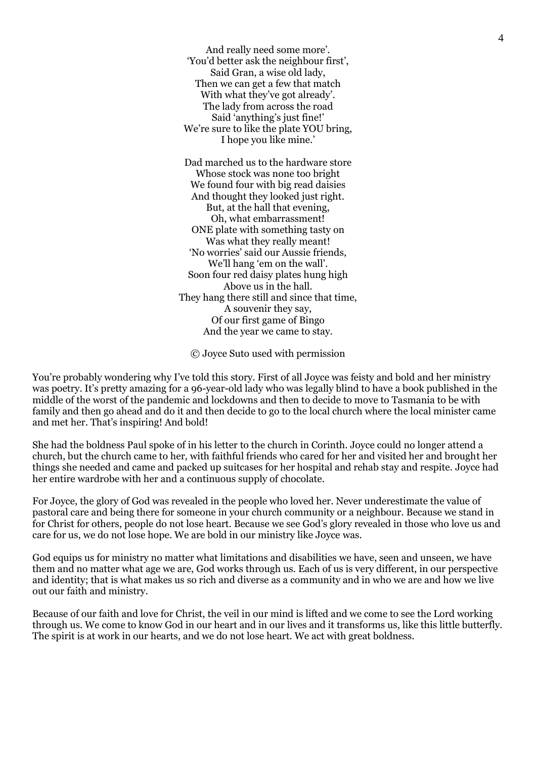And really need some more'. 'You'd better ask the neighbour first', Said Gran, a wise old lady, Then we can get a few that match With what they've got already'. The lady from across the road Said 'anything's just fine!' We're sure to like the plate YOU bring, I hope you like mine.'

Dad marched us to the hardware store Whose stock was none too bright We found four with big read daisies And thought they looked just right. But, at the hall that evening, Oh, what embarrassment! ONE plate with something tasty on Was what they really meant! 'No worries' said our Aussie friends, We'll hang 'em on the wall'. Soon four red daisy plates hung high Above us in the hall. They hang there still and since that time, A souvenir they say, Of our first game of Bingo And the year we came to stay.

© Joyce Suto used with permission

You're probably wondering why I've told this story. First of all Joyce was feisty and bold and her ministry was poetry. It's pretty amazing for a 96-year-old lady who was legally blind to have a book published in the middle of the worst of the pandemic and lockdowns and then to decide to move to Tasmania to be with family and then go ahead and do it and then decide to go to the local church where the local minister came and met her. That's inspiring! And bold!

She had the boldness Paul spoke of in his letter to the church in Corinth. Joyce could no longer attend a church, but the church came to her, with faithful friends who cared for her and visited her and brought her things she needed and came and packed up suitcases for her hospital and rehab stay and respite. Joyce had her entire wardrobe with her and a continuous supply of chocolate.

For Joyce, the glory of God was revealed in the people who loved her. Never underestimate the value of pastoral care and being there for someone in your church community or a neighbour. Because we stand in for Christ for others, people do not lose heart. Because we see God's glory revealed in those who love us and care for us, we do not lose hope. We are bold in our ministry like Joyce was.

God equips us for ministry no matter what limitations and disabilities we have, seen and unseen, we have them and no matter what age we are, God works through us. Each of us is very different, in our perspective and identity; that is what makes us so rich and diverse as a community and in who we are and how we live out our faith and ministry.

Because of our faith and love for Christ, the veil in our mind is lifted and we come to see the Lord working through us. We come to know God in our heart and in our lives and it transforms us, like this little butterfly. The spirit is at work in our hearts, and we do not lose heart. We act with great boldness.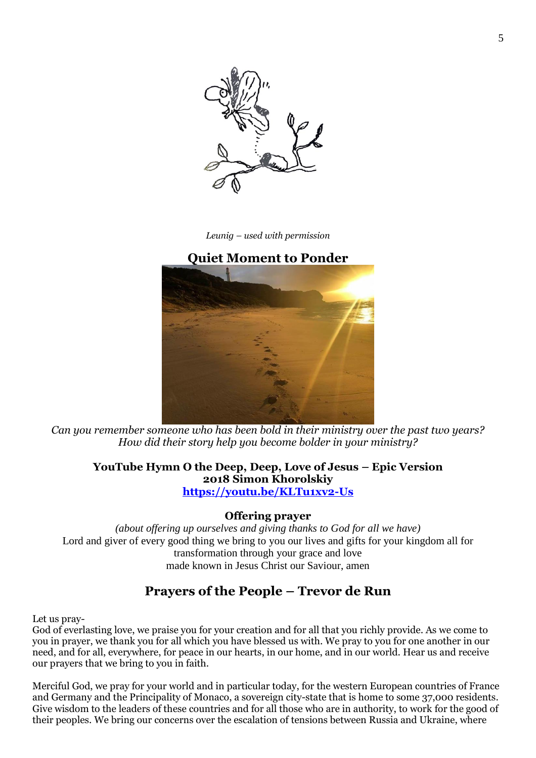

*Leunig – used with permission*



# *Can you remember someone who has been bold in their ministry over the past two years? How did their story help you become bolder in your ministry?*

# **YouTube Hymn O the Deep, Deep, Love of Jesus – Epic Version 2018 Simon Khorolskiy**

**<https://youtu.be/KLTu1xv2-Us>**

## **Offering prayer**

*(about offering up ourselves and giving thanks to God for all we have)* Lord and giver of every good thing we bring to you our lives and gifts for your kingdom all for transformation through your grace and love made known in Jesus Christ our Saviour, amen

# **Prayers of the People – Trevor de Run**

Let us pray-

God of everlasting love, we praise you for your creation and for all that you richly provide. As we come to you in prayer, we thank you for all which you have blessed us with. We pray to you for one another in our need, and for all, everywhere, for peace in our hearts, in our home, and in our world. Hear us and receive our prayers that we bring to you in faith.

Merciful God, we pray for your world and in particular today, for the western European countries of France and Germany and the Principality of Monaco, a sovereign city-state that is home to some 37,000 residents. Give wisdom to the leaders of these countries and for all those who are in authority, to work for the good of their peoples. We bring our concerns over the escalation of tensions between Russia and Ukraine, where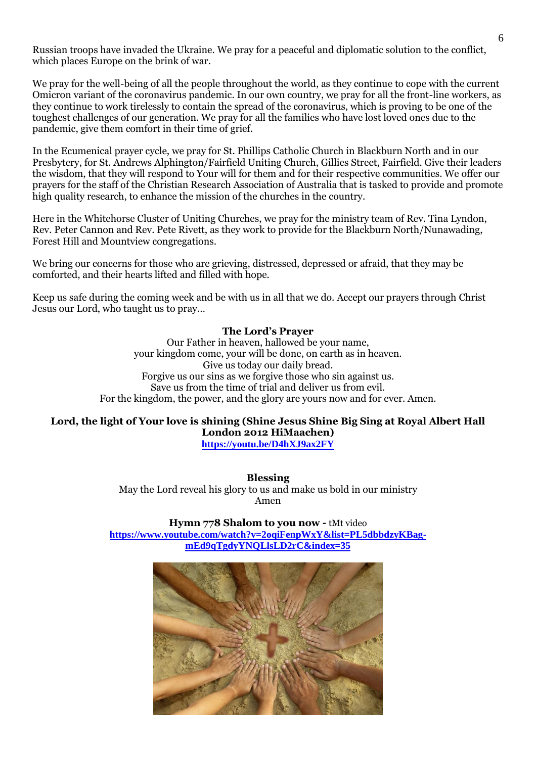Russian troops have invaded the Ukraine. We pray for a peaceful and diplomatic solution to the conflict, which places Europe on the brink of war.

We pray for the well-being of all the people throughout the world, as they continue to cope with the current Omicron variant of the coronavirus pandemic. In our own country, we pray for all the front-line workers, as they continue to work tirelessly to contain the spread of the coronavirus, which is proving to be one of the toughest challenges of our generation. We pray for all the families who have lost loved ones due to the pandemic, give them comfort in their time of grief.

In the Ecumenical prayer cycle, we pray for St. Phillips Catholic Church in Blackburn North and in our Presbytery, for St. Andrews Alphington/Fairfield Uniting Church, Gillies Street, Fairfield. Give their leaders the wisdom, that they will respond to Your will for them and for their respective communities. We offer our prayers for the staff of the Christian Research Association of Australia that is tasked to provide and promote high quality research, to enhance the mission of the churches in the country.

Here in the Whitehorse Cluster of Uniting Churches, we pray for the ministry team of Rev. Tina Lyndon, Rev. Peter Cannon and Rev. Pete Rivett, as they work to provide for the Blackburn North/Nunawading, Forest Hill and Mountview congregations.

We bring our concerns for those who are grieving, distressed, depressed or afraid, that they may be comforted, and their hearts lifted and filled with hope.

Keep us safe during the coming week and be with us in all that we do. Accept our prayers through Christ Jesus our Lord, who taught us to pray…

#### **The Lord's Prayer**

Our Father in heaven, hallowed be your name, your kingdom come, your will be done, on earth as in heaven. Give us today our daily bread. Forgive us our sins as we forgive those who sin against us. Save us from the time of trial and deliver us from evil. For the kingdom, the power, and the glory are yours now and for ever. Amen.

# **Lord, the light of Your love is shining (Shine Jesus Shine Big Sing at Royal Albert Hall London 2012 HiMaachen)**

**<https://youtu.be/D4hXJ9ax2FY>**

**Blessing** May the Lord reveal his glory to us and make us bold in our ministry Amen

**Hymn 778 Shalom to you now -** tMt video **[https://www.youtube.com/watch?v=2oqiFenpWxY&list=PL5dbbdzyKBag](https://www.youtube.com/watch?v=2oqiFenpWxY&list=PL5dbbdzyKBag-mEd9qTgdyYNQLlsLD2rC&index=35)[mEd9qTgdyYNQLlsLD2rC&index=35](https://www.youtube.com/watch?v=2oqiFenpWxY&list=PL5dbbdzyKBag-mEd9qTgdyYNQLlsLD2rC&index=35)**